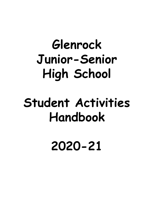# **Glenrock Junior-Senior High School**

# **Student Activities Handbook**

**2020-21**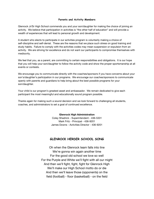### **Parents and Activity Members**

Glenrock Jr/Sr High School commends you and your son/daughter for making the choice of joining an activity. We believe that participation in activities is "the other half of education" and will provide a wealth of experiences that will lead to personal growth and development.

A student who elects to participate in our activities program is voluntarily making a choice of self-discipline and self-denial. These are the reasons that we place such stress on good training and study habits. Failure to comply with the activities codes may mean suspension or expulsion from an activity. We are striving for excellence and do not want our participants to compromise themselves with mediocrity.

We feel that you, as a parent, are committing to certain responsibilities and obligations. It is our hope that you will help your son/daughter to follow the activity code and show the proper sportsmanship at all events or contests.

We encourage you to communicate directly with the coaches/sponsors if you have concerns about your son's/daughter's participation in our programs. We encourage our coaches/sponsors to communicate openly with parents and guardians to help bring about the best possible programs for your son/daughter.

Your child is our program's greatest asset and ambassador. We remain dedicated to give each participant the most meaningful and educationally sound program possible.

Thanks again for making such a sound decision and we look forward to challenging all students, coaches, and administrators to set a goal of continued excellence.

#### **Glenrock High Administration**

Coley Shadrick - Superintendent - 436-5331 Mark Fritz - Principal - 436-9201 James Downs - Activities Director - 436-9201

# **GLENROCK HERDER SCHOOL SONG**

Oh when the Glenrock team falls into line We're gonna win again another time For the good old school we love so well For the Purple and White we'll fight with all our might And then we'll fight, fight, fight for Glenrock High We'll make our High School motto do or die And then we'll leave those (opponents) on the field (football) - floor (basketball) - on the field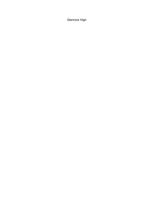Glenrock High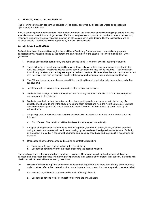#### **I. SEASON, PRACTICE, and EVENTS**

The following information concerning activities will be strictly observed by all coaches unless an exception is approved by the Principal.

Activity events sponsored by Glenrock High School are under the jurisdiction of the Wyoming High School Activities Association and must follow such guidelines. Maximum length of season, maximum number of events per season, maximum number of events or quarters in which an athlete can participate designed by the Association, will be followed closely. Schedules will be approved by the local School Board.

#### **II. GENERAL GUIDELINES**

in

Before interscholastic competition begins there will be a Cautionary Statement sent home outlining program expectations that must be signed by the parent and participant before the student is allowed to compete. Other guidelines:

- 1. Practice sessions for each activity are not to exceed three (3) hours of physical activity per student.
- 2. There will be no physical practice on Sundays or legal holidays unless prior permission is granted by the Activities Director. Practice is allowed during school vacations but may not be required. If athletes are in town during vacation practice they are expected to be at practice. Athletes who miss practice over vacations may not play in the next competition due to safety concerns because of lack of physical conditioning.
- 3. Two (2) practices a day may be scheduled if the combined time of physical activity does not exceed a five (5) hour limit.
- 4. No student will be excused to go to practice before school is dismissed.
- 5. Students must always be under the supervision of a faculty member or certified coach unless exceptions are approved by the Principal.
- 6. Students must be in school the entire day in order to participate in practice or an activity that day. An exception will be made only if the student has permission beforehand from the Activities Director. Excused absences are acceptable but unexcused Infractions will be dealt with on a case by case basis by the Administration.
- 7. Shoplifting, theft or malicious destruction of any school or individual's equipment or property is not to be tolerated.
	- a. First offense: The individual will be dismissed from the squad immediately.
- 8. A display of unsportsmanlike conduct toward an opponent, teammate, official, or fan, or use of profanity during a practice or contest will result in counseling by the head coach and possible suspension. Profanity or disrespect directed at a coach will be handled on a case-by-case basis and may result in suspension or dismissal.
- 9. Unexcused absence from scheduled practice or contest will result in:
	- a. Suspension for one contest following the first violation.
	- b. Suspension for remainder of the season following the second violation.

The head coach will determine whether a practice is excused. Head coaches will outline their expectations for excused and unexcused practices to both the participants and their parents at the start of their season. Students with disabilities will be dealt with on a case by case basis.

- 10. Discipline Infractions requiring administrative action that requires ISS for more than 1/2 day of the student's daily schedule, after school detention of no more than one hour, or out of school suspension, as established
	- the rules and regulations for students in Glenrock Jr/Sr High School.
		- a. Suspension for one week's competition following the first violation;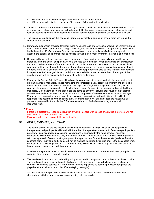- b. Suspension for two week's competition following the second violation;
- c. Will be suspended for the remainder of the season following the third violation.
- 11. Any civil or criminal law infraction or conduct by a student participant that is determined by the head coach or sponsor and school administration to be detrimental to the team, program, school, or school district will result in counseling by the head coach and a school administrator with possible suspension or dismissal.
- 12. The rules and regulations in this code shall apply to any violation, on and off school premises during the season of participation.
- 13. Before any suspension provided for under these rules shall take effect, the student shall be verbally advised by the head coach or sponsor of the alleged violation, and the student will have an opportunity to explain or justify the action. If, after such conference, the head coach or sponsor is satisfied that a suspension is justified, the student and parents shall be notified through a personal conference, in writing, or a phone call.
- 14. Responsibility for materials, uniforms, and equipment Each student is financially responsible for any materials, uniforms and/or equipment which is checked out to him/her. When any item is lost or misplaced, the head coach or sponsor of the activity should be notified at once so that a search can be made. If the item does not turn up, the student to whom it was checked out will be required to pay its replacement cost. Students found guilty of vandalism or destruction of school property will also be held financially responsible for replacement of destroyed items. If individual responsibility cannot be determined, the budget of the activity or sport will be assessed for the cost of the loss or damage.
- 15. Managers for School Activity Teams: Head coaches are responsible for all students that are serving their programs as team managers. These managers are considered a vital part of the program and should be treated with respect. It is preferred that team managers be of high school age, but if a vacancy exists, younger students may be considered. It is the head coaches' responsibility to select and appoint all team managers. Expectations of HS managers are the same as any other player: they must meet academic requirements and can also earn a varsity letter upon completion of two complete seasons as a manager. Managers are expected to adhere to all team rules and expectations and work diligently to fulfill all responsibilities assigned by the coaching staff. Team managers not of high school age must have all paperwork required by the Activities Office completed and on file before assuming managerial responsibilities.

#### 16. Protests

If there is a protest that leads to a disruption or would interfere with classes or activities the protest will not be allowed on school grounds. 32211(A)

Protesters will be held accountable for their actions.

#### **III. MEALS, EXPENSES, AND TRAVEL**

- 1. The school district will provide meals at culminating events only. All trips will be by school-provided transportation. All participants will travel with the school transportation to an event. Releasing participants to parents will be discouraged unless need is shown and is approved by the head coach or sponsor. Participants will then be released only to their own parents, and in cases of emergencies, to other parents with prior approval. Parents must sign a parent transport request form at the game site (available from the coaching staff.) Individual participants will not be excused to get ready for trips prior to the designated time. Participants on activity trips will not be counted absent, will be allowed to makeup work missed, but should be encouraged to make up work beforehand.
- 2. Coaches and sponsors must stay within travel and meal allowances and report expenditures promptly to the Activities Director upon a return from a trip.
- 3. The head coach or sponsor will ride with participants to and from trips and be with them at all times on trips. The head coach or an assistant coach shall remain until participants clear a building after practices or contests. Teams and coaches will return from all games or playoffs as soon as practical after games are played or after elimination from playoffs (no staying overnight).
- 4. School-provided transportation is to be left clean and in the same physical condition as when it was checked out with the head coach or sponsor being held responsible.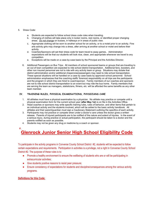#### 5. Dress Code:

- a. Students are expected to follow school dress code rules when traveling.
- b. Changing of clothes will take place only in locker rooms, rest rooms, or identified proper changing areas. Do not change on busses, in hallways or in areas of public view.
- c. Appropriate clothing will be worn to another school for an activity, or to a motel prior to an activity. Fine arts activity girls may change into a dress, after arriving at another school or motel and before their activity.
- d. Coaches/Sponsors will set their dress code for team travel to away games.. Administration expectations will be that our students will look nice, clean, and appropriate whenever we travel to any competition.
- e. Exceptions will be made on a case-by-case basis by the Principal and the Activities Director.
- 6. Additional Passengers on Bus Trips: All members of school sponsored teams or groups that are traveling to an out of town competition are expected to ride school district transportation. Additional fans, boosters, and other non insured personnel are not to ride with any activity team or group. Situations may dictate that district administration and/or additional chaperones/passengers may need to ride school transportation. These special situations will be handled on a case by case basis by approved school personnel. School administration emphasizes that the coaching staffs' foremost responsibility on all trips are the participants and the program in which they are hired to coach/sponsor. Family members of our coaches and sponsors are not to ride school district transportation to an event but may ride the bus home. Family members that are serving the team as managers, statisticians, filmers, etc. will be afforded the same benefits as any other team member.

#### **IV. TRAINING RULES, PHYSICAL EXAMINATIONS, PHYSICIANS CARE**

- 1. All athletes must have a physical examination by a physician. No athlete may practice or compete until a physical examination form for the current school year (**after May 1st**) is on file in the Activities Office.
- 2. Head coaches or sponsors may write specific training rules, rules of behavior, and other items that pertain to an individual activity and the students involved, which will be added to the basic activity handbook. All athletes and their parent/guardian must sign a Cautionary Statement outlining the specifics of each activity.
- 3. Participants may not practice or compete when under a doctor's care unless the doctor gives a written release. Parents of injured participants are to be notified of the nature and extent of injuries. In the event of a serious injury, during practice or actual participation, the participant should be taken to a doctor and the parents notified as soon as possible.
- 4. Students may not be given any drug or medicine by a coach or sponsor.

#### **V.**

# **Glenrock Junior Senior High School Eligibility Code**

To participate in the activity programs in Converse County School District #2, students will be expected to follow certain expectations and requirements. Participation in activities is a privilege, not a right in Converse County School District #2. The purpose of these rules is to:

- Promote a healthy environment to ensure the wellbeing of students who are or will be participating in extracurricular activities;
- Give students positive reasons to resist peer pressure;
- Ensure consistency of expectations for students and discipline/consequences among the various activity programs.

### **Definitions for this Code:**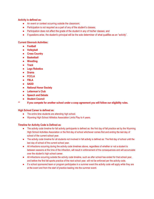# **Activity is defined as:**

- An event or contest occurring outside the classroom;
- Participation is not required as a part of any of the student's classes;
- Participation does not affect the grade of the student in any of his/her classes; and
- If questions arise, the student's principal will be the sole determiner of what qualifies as an "activity".

# **Current Glenrock Activities:**

- **● Football**
- **● Volleyball**
- **● Cross Country**
- **● Basketball**
- **● Wrestling**
- **● Track**
- **● Lego Robotics**
- **● Drama**
- **● FCCLA**
- **● FBLA**
- **● SADD**
- **● National Honor Society**
- **● Letterman's Club**
- **● Speech and Debate**
- **● Student Council**
- **\*\* If you compete for another school under a coop agreement you will follow our eligibility rules.**

# **High School Career is defined as:**

- The entire time students are attending high school.
- Wyoming High School Athletics Association Limits Play to 4 years.

# **Timeline for Activity Code is Defined as**:

- The activity code timeline for fall activity participants is defined as: the first day of fall practice set by the Wyoming High School Activities Association or the first day of school whichever comes first and ending the last day of school of the current school year.
- The activity code timeline for all students not involved in fall activity is defined as: The first day of school until the last day of school of the current school year.
- All infractions occurring during the activity code timelines above, regardless of whether or not a student is between seasons at the time of the infraction, will result in enforcement of the consequences and will accumulate over the student's high school career.
- All infractions occurring outside the activity code timeline, such as after school has ended for that school year, and before the first fall sports practice of the next school year, will not be enforced per the activity code.
- If a school sponsored team or program participates in a summer event the activity code will apply while they are at the event and from the start of practice leading into the summer event.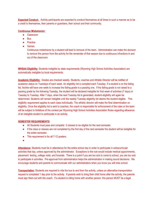**Expected Conduct:** Activity participants are expected to conduct themselves at all times in such a manner as to be a credit to themselves, their parents or guardians, their school and their community.

## **Continuous Misbehavior:**

- Classroom
- Bus
- Practice
- Games

Continuous misbehavior by a student will lead to removal of the team. Administration can make the decision to remove this person from the activity for the remainder of that season due to continuous infractions in and out of the classroom.

**WHSAA Eligibility:** Students ineligible by state requirements (Wyoming High School Activities Association) are automatically ineligible by local requirements.

**Academic Eligibility:** Grades are checked weekly. Students, coaches and Athletic Director will be notified of academic status on Tuesdays of each week. An eligibility list is compiled each Tuesday. If a student is on the failing list, he/she will have one week to increase the failing grade to a passing one. If the failing grade is not raised to a passing grade by the following Tuesday, the student will be declared ineligible for that week of activities (7 days) or Tuesday to Tuesday. After 7 days, when the next Tuesday list is generated, student eligibility will again be determined. Students will remain ineligible until the weekly Tuesday eligibility list deems the student eligible. This eligibility requirement applies to each class individually. The athletic director will make the final determination on eligibility. Once the eligibility list is sent to coaches, the coach is responsible for enforcement of the rules or the team will be subject to forfeiture of the contest per Wyoming High School Activities Association Rules regarding allowance of an ineligible student to participate in an activity.

# **SEMESTER REQUIREMENTS**:

- All Students must pass and complete 5 classes to be eligible for the next semester.
- If the class or classes are not completed by the first day of the next semester the student will be ineligible for the entire semester.
- This requirement is for all 7-12 graders.
- ●

**Attendance**: Students must be in attendance for the entire school day in order to participate in extracurricular activities that day, unless approved by the administrator. Exceptions to the rule would include medical appointments, placement testing, college visits, and funerals. There is a point if you are too sick to come to school, you are too sick to participate in activities. Pre-approval from administration helps the administration in making sound decisions. We encourage students and parents to communicate with our administrators when you know you will miss school.

**Transportation**: Students are required to ride the bus to and from the activity, unless an alternative transportation request is completed 1 day prior to the activity. If parents wish to bring their child home after the activity, the parents must sign them out with the coach. If a student is riding home with another person- this person MUST be a legal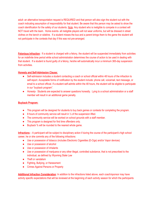adult- an alternative transportation request is REQUIRED and that person will also sign the student out with the coach indicating assumption of responsibility for that student. Be aware that this person may be asked to show the coach identification for the safety of our students. Note: Any student who is ineligible to compete in a contest will NOT travel with the team. Home events- all ineligible players will not wear uniforms, but will be dressed in street clothes on the bench or sideline. If a student misses the bus and a parent brings them to the game the student will not participate in the contests that day if this was not pre-arranged.

**Felonious Infraction:** If a student is charged with a felony, the student will be suspended immediately from activities for an indefinite time period while school administration determines the course of action to be used in dealing with that student. If a student is found guilty of a felony, he/she will automatically incur a minimum 365-day suspension from activities.

# **Honesty and Self-Admission Clause:**

- Self-admission includes a student contacting a coach or school official within 48 hours of the infraction to self-report. Acceptable forms of notification by the student include: phone call, voicemail, text message, or email to a school official. If a student self-admits within the 48 hours, the student will be eligible to participate in our "buyback program".
- Honesty- Students are expected to answer questions honestly. Lying to a school administration or a staff member will result in an additional game penalty.

# **Buyback Program:**

- This program will be designed for students to buy back games or contests for completing the program.
- $\bullet$  8 hours of community service will result in  $\frac{1}{2}$  of the suspension lifted.
- The community service will be worked on school grounds with a staff member.
- This program is designed for first time offenders only.
- Buyback % will be rounded to the nearest whole game.

**Infractions** – A participant will be subject to disciplinary action if during the course of the participant's high school career, he or she commits any of the following infractions:

- Use or possession of tobacco (includes Electronic Cigarettes (E-Cigs) and/or Vapor devices)
- Use or possession of alcohol
- Use or possession of inhalants
- Use or possession of marijuana or any other illegal, controlled substance, that is not prescribed to the individual, as defined by Wyoming State Law
- Theft or vandalism
- Fighting, Bullying, or Harassment
- Crimes Against Persons or Property

**Additional Infraction Consideration**: In addition to the infractions listed above, each coach/sponsor may have activity specific expectations that will be reviewed at the beginning of each activity season for which the participants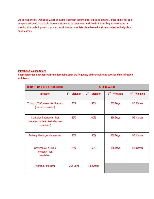will be responsible. Additionally, lack of overall classroom performance, expected behavior, effort, and/or failing to complete assigned tasks could cause the student to be determined ineligible by the building administration. A meeting with student, parent, coach and administration must take place before the student is deemed ineligible for such reasons.

# **Infraction/Violation Chart:**

**Suspensions for infractions will vary depending upon the frequency of the activity and severity of the infraction as follows:**

| <b>INFRACTION / VIOLATION CHART</b>                                                      | % OF SEASON       |                   |                   |                   |
|------------------------------------------------------------------------------------------|-------------------|-------------------|-------------------|-------------------|
| <b>Infraction</b>                                                                        | $1st$ – Violation | $2nd$ – Violation | $3rd$ – Violation | $4th$ – Violation |
| Tobacco, THC, Alcohol & Inhalants<br>(use or possession)                                 | 25%               | 50%               | 365 Days          | <b>HS Career</b>  |
| <b>Controlled Substance - Not</b><br>prescribed to the individual (use or<br>possession) | 35%               | 60%               | 365 Days          | <b>HS Career</b>  |
| Bullying, Hazing, or Harassment                                                          | 25%               | 50%               | 365 Days          | <b>HS Career</b>  |
| <b>Conviction of a Crime</b><br><b>Property Theft</b><br>Vandalism                       | 25%               | 50%               | 365 Days          | <b>HS Career</b>  |
| <b>Felonious Infractions</b>                                                             | 365 Days          | <b>HS Career</b>  |                   |                   |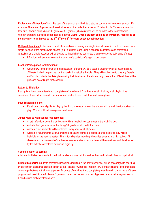**Explanation of Infraction Chart:** Percent of the season shall be interpreted as contests in a complete season. For example: There are 18 games in a basketball season. If a student receives his 1<sup>st</sup> infraction for Tobacco, Alcohol or Inhalants, it would equal 25% of 18 games or 4.5 games. (all calculations will be rounded to the nearest whole number, therefore 4.5 would be rounded to 5 games). **Note: Once a student commits an infraction, regardless of i**the category, he will move to the 2<sup>nd</sup>, 3<sup>rd</sup> then 4<sup>th</sup> for every subsequent infraction.

**Multiple Infractions:** In the event of multiple infractions occurring at a single time, all infractions will be counted as a single violation of the most severe offense (e.g., a student found using a controlled substance and committing vandalism on a single occasion will be treated as though he/she committed a single controlled substance offense).

● Infractions will accumulate over the course of a participant's high school career.

# **Level of Participation for Infractions:**

● A student will be punished at the highest level of their play. So a student that plays varsity basketball and JV basketball will be punished on the varsity basketball schedule. They will not be able to play any Varsity and/ or JV contests that take place during that time frame. If a student only plays at the JV level they will be punished according to that schedule.

# **Return to Eligibility:**

Playing time is not guaranteed upon completion of punishment. Coaches maintain final say in all playing time decisions. Students that return to the team are expected to earn back trust and playing time.

# **Post Season Eligibility:**

● If a student is not eligible for play by the first postseason contest the student will be ineligible for postseason play. Which could include regionals and state.

# **Junior High to High School requirements:**

- Chart Infractions occurring at the Junior High level will not carry over to the High School.
- A student will get a fresh start entering 9th grade for all chart infractions.
- Academic requirements will be enforced every year for all students.
- Academic requirements- all students must pass and compete 5 classes per semester or they will be ineligible for the next semester. That is for all grades including 8th grades entering into high school. All classes must be made up before the next semester starts. Incompletes will be monitored and timelines set by the activities director to determine eligibility.

# **Communication to parents:**

All student athletes that are disciplined will receive a phone call from either the coach, athletic director or principal.

**Student Supports:** Students committing infractions resulting in the above penalties, will be encouraged to seek help by enrolling in assistance programs such as the Tobacco Awareness Program (TAP) or participating in other support group organizations at their own expense. Evidence of enrollment and completing attendance in one or more of these programs will result in a reduction of 1 game or contest of the total number of games/contests in the regular season. It can be used for two violations only.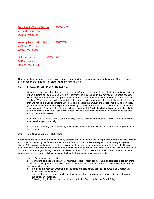Department of Family Services 307-358-3138 219 North Russell Ave. Douglas, WY 82633

Wyoming Behavioral Institution 307-237-7444 2521 East 15th Street Casper, WY 82609

Solutions for Life 307-358-2846 1841 Madora Ave. Douglas, WY 82633

Other disciplinary measures may be taken based upon the circumstances, location, and severity of the offense as determined by the Principal, Assistant Principal/Activities Director.

#### **VI. CHOICE OF ACTIVITY, INFLUENCE**

- 1. Coaches or sponsors should not exert any undue influence on students to participate in a particular activity. When students decide on an activity, it is recommended they remain in that activity for the entire season. However, a student may switch sports providing that the transfer is made with the consent of the coaches involved. When students switch an activity or begin an activity season after the first initial weeks of practice they will not be allowed to compete until they have equaled the amount of practice time they have missed. (Example: if a student wants to go out for wrestling 3 weeks after the season has started, that student will have to practice 3 weeks before they are allowed to compete). Students who finish one sport in its entirety and then begin a subsequent sport will be dealt with on a case by case basis by the sports head coaches and school administration.
- 2. If students are dismissed from a sport or activity because of disciplinary reasons, they will not be allowed to enter another sport or activity.
- 3. If a student voluntarily quits an activity, they cannot rejoin that team without the consent and approval of the head coach.

### **VII. SUPERVISION and DIRECTION**

Supervision and direction of the athletic/activity program shall be vested in the Principal through the Activities Director and subject to review by the Superintendent and the School Board. Rules and regulations of the Wyoming High School Activities Association shall be adhered to and shall be used as minimum standards for Glenrock. Coaches and sponsors are required to attend all meetings, practices, games, meets, etc., scheduled in their assignment unless prior approval is arranged through the Activities Director with notification to the Principal. Exceptions can be made concerning family or personal illnesses by contacting the head coach or Activities Director.

1. Coaches/Sponsors responsibilities are:

a. Monitoring participant's behavior. This includes locker room behavior until all participants are out of the locker room. Sitting in an office (even one with windows and the door open) is not adequate observation of participants behavior.

- b. Informing the Activities Director of all incidents and disciplinary actions. The Activities Director will inform other administration.
- c. Give input to the ordering of uniforms, training supplies, and equipment. Maintaining inventories of equipment and facilities.
- d. Following all guidelines in their job description in this Code and School Board Policy.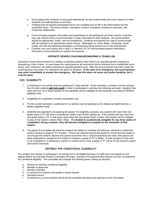- e. Encouraging their students to have good attendance, do well academically and show respect for other students and staff members at all times.
- f. Verifying that all required participation forms are complete and on file in the office before the first scheduled event. The forms include: exemplary conduct, emergency treatment, physicals, and Cautionary Statements.
- g. Communicating program information and expectations to all participants and their parents. Coaches may use various forms of communication to relay information to their students. All communication should be appropriate, timely, and non threatening. Students and parents are urge to communicate with all coaches in an appropriate verbal manner. Messages (i.e. texts, letters, voicemails, social media, etc) that are harassing derogatory or threatening will be turned over to law enforcement.
- h. Coaches may use a group text or app (i.e. Remind 101) to communicate program information, itineraries or announcements to players and parents.

#### **OPPOSITE GENDER COACHING/SPONSORING A TEAM/CLUB**

Converse County School District # 2 realizes a potential problem when there is an opposite gender coaching or sponsoring a club or team. In most cases the coach/sponsor will announce his/her entrance into a motel/hotel room, locker room, bathroom, etc before entering an opposite gender's area. After the announcement has been made the coach/sponsor may enter if no objections are given by students. **In the case of an emergency, the coach/sponsor may enter immediately to answer the emergency. We hope this does not cause any undue hardship, but it must be done.**

#### **VIII. ELIGIBILITY**

- 1. A participant in an activity must be passing all 7 class periods. At the semester, a student must be passing five (5) solid subjects **with full credit** in order to participate in activities the following semester. Students that pass only four (4) or fewer classes for the semester will be ineligible for the semester according to WHSAA eligibility rules.
- 2. Ineligibility for a semester includes competition only.
- 3. For the current semester, a participant in an activity must be passing six (6) classes as determined by a weekly eligibility check.
- 4. Students are expected to be passing all classes. For eligibility purposes, any student with more than one grade below a "D" will have a probationary week to get his/her grades up. If the student still has more than one grade below a "D" in that same class when the next grade check is done, that student will be ineligible to play in that week's contest (Wed -Wed). **If a student is academically ineligible for any three weeks of competition during a season, they will become ineligible to compete for the remainder of that season.**
- 5. The grade of incomplete will allow the student two weeks to complete the outcome, standard or classroom work to achieve a grade of "D" or better. If there are reasons beyond the student's control and two weeks is not enough the student, teacher and parent must enter into a contract specifying the work, time period and other expectations needed for the student to achieve a grade of "D" or better. In both situations if the work is not completed in a satisfactory manner in content and on time a grade of "F" will be on the student's report card and/or transcript.

#### **CRITERIA FOR CONDITIONAL ELIGIBILITY**

Any student who wishes to participate in an activity but is not eligible because of credit loss must appeal to and appear before the Activities Review Committee (Principal, Assistant Principal/Activities Director and two (2) teachers) for conditional eligibility. The committee will consider the following when making its decision:

- a. Reason for wanting conditional eligibility
- b. Number of absences
- c. Number of tardies
- d. A current list of classes and grades in those classes
- e. Discipline record
- f. Comments by current teachers which will be submitted directly by the teachers to the Committee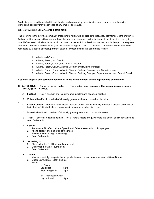Students given conditional eligibility will be checked on a weekly basis for attendance, grades, and behavior. Conditional eligibility may be revoked at any time for due cause.

#### **IX. ACTIVITIES COMPLAINT PROCEDURE**

The following is the activities complaint procedure to follow with all problems that arise. Remember, care enough to first contact the person with whom you have the problem. You owe it to the individual to tell them if you are going over his/her head. Initial contacts should be done in a respectful, professional manner, and in the appropriate place and time. Consideration should be given for rational thought to occur. A mediated conference will be held when requested by a coach, sponsor, parent or student. Procedures for this conference follows:

- 1. Athlete and Coach
- 2. Athlete, Parent, and Coach
- 3. Athlete, Parent, Coach, and Athletic Director
- 4. Athlete, Parent, Coach, Athletic Director, and Building Principal
- 5. Athlete, Parent, Coach, Athletic Director, Building Principal, and Superintendent
- 6. Athlete, Parent, Coach, Athletic Director, Building Principal, Superintendent, and School Board.

#### **Coaches, players, and parents must wait 24 hours after a contest before approaching one another.**

- **X. LETTERING To letter in any activity The student must complete the season in good standing. (GRADES 9-12 ONLY)**
	- A. **Football** Play in one-half of all varsity game quarters and coach's discretion.
	- B. **Volleyball** Play in one-half of all varsity game matches and coach's discretion
	- C. **Cross Country** Run as a varsity team member (top 5); run as a varsity member in at least one meet or be in the top 10 individuals in a junior varsity race and coach's discretion.
	- D. **Basketball** Play in one-half of all varsity game quarters and coach's discretion.
	- E. **Track** Score at least one point in 1/3 of all varsity meets or equivalent to this and/or qualify for State and coach's discretion.
	- F. **Speech** —

.

- 1. Accumulate fifty (50) National Speech and Debate Association points per year
- 2. Attend at least one-half of all of the meets
- 3. Finish the season in good standing
- 4. Coach's discretion

#### G. **Wrestling** —

- 1. Place in the top 6 at Regional Tournament
- 2. Qualify for the State Tournament.
- 3. Coach's discretion

#### H. **Drama**

- 1. Must successfully complete the fall production and be in at least one event at State Drama.
- 2. Must accumulate at least 12 points.
	- Points:

| a. Roles:       |       |
|-----------------|-------|
| Lead Role       | 5 pts |
| Supporting Role | 3 pts |

 b. Production Crew Lights/Sound 5 pts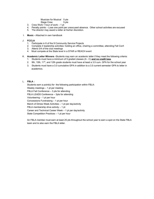Musician for Musical 5 pts

- Stage Crew 5 pts 3. Crew Work 1 hour of work – 1 pt
- 4. Penalty points Lose one point per unexcused absence. Other school activities are excused
- 5. The director may award a letter at his/her discretion.
- I. **Music** Attached in own handbook
- J. **FCCLA**
	- 1. Participate in 6 of the 9 Community Service Projects
	- 2. Complete 4 leadership activities: holding an office, chairing a committee, attending Fall Conf.
	- 3. Attend 3/4 of the club meetings
	- 4. Must compete at the State level in a STAR or REACH event

#### K. **Academic Letter Winners** -Students may earn an academic letter if they meet the following criteria:

- 1. Students must have a minimum of 5 graded classes (A C) **and no credit loss**.
- 2. 9th, 10th, 11<sup>th</sup>, and 12th grade students must have at least a 3.5 cum. GPA for the school year
- 3. Students must have a 3.0 cumulative GPA in addition to a 3.5 current semester GPA to letter in academics.

### L. **FBLA :**

Students earn a point(s) for the following participation within FBLA: Weekly meetings – 1 pt per meeting FBLA Fall Conference – 3 pts for attending FBLA LEADS Conference – 3pts for attending Volunteering – 1 pt per hour Concessions Fundraising – 1 pt per hour March of Dimes Week Activities – 1 pt per day/activity FBLA membership drive activity – 1 pt Career and Technical Career Week – 1 pt per day/activity State Competition Practices – 1 pt per hour

An FBLA member must earn at least 25 pts throughout the school year to earn a spot on the State FBLA team and to also earn the FBLA letter.